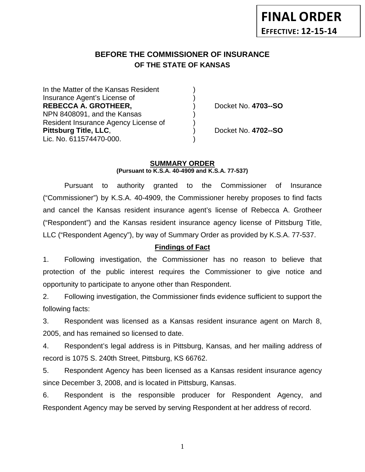# **BEFORE THE COMMISSIONER OF INSURANCE OF THE STATE OF KANSAS**

In the Matter of the Kansas Resident Insurance Agent's License of ) **REBECCA A. GROTHEER,** ) Docket No. **4703--SO** NPN 8408091, and the Kansas ) Resident Insurance Agency License of ) **Pittsburg Title, LLC**, ) Docket No. **4702--SO** Lic. No. 611574470-000.

### **SUMMARY ORDER (Pursuant to K.S.A. 40-4909 and K.S.A. 77-537)**

Pursuant to authority granted to the Commissioner of Insurance ("Commissioner") by K.S.A. 40-4909, the Commissioner hereby proposes to find facts and cancel the Kansas resident insurance agent's license of Rebecca A. Grotheer ("Respondent") and the Kansas resident insurance agency license of Pittsburg Title, LLC ("Respondent Agency"), by way of Summary Order as provided by K.S.A. 77-537.

# **Findings of Fact**

1. Following investigation, the Commissioner has no reason to believe that protection of the public interest requires the Commissioner to give notice and opportunity to participate to anyone other than Respondent.

2. Following investigation, the Commissioner finds evidence sufficient to support the following facts:

3. Respondent was licensed as a Kansas resident insurance agent on March 8, 2005, and has remained so licensed to date.

4. Respondent's legal address is in Pittsburg, Kansas, and her mailing address of record is 1075 S. 240th Street, Pittsburg, KS 66762.

5. Respondent Agency has been licensed as a Kansas resident insurance agency since December 3, 2008, and is located in Pittsburg, Kansas.

6. Respondent is the responsible producer for Respondent Agency, and Respondent Agency may be served by serving Respondent at her address of record.

1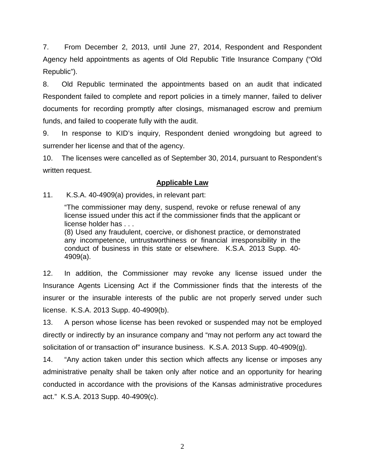7. From December 2, 2013, until June 27, 2014, Respondent and Respondent Agency held appointments as agents of Old Republic Title Insurance Company ("Old Republic").

8. Old Republic terminated the appointments based on an audit that indicated Respondent failed to complete and report policies in a timely manner, failed to deliver documents for recording promptly after closings, mismanaged escrow and premium funds, and failed to cooperate fully with the audit.

9. In response to KID's inquiry, Respondent denied wrongdoing but agreed to surrender her license and that of the agency.

10. The licenses were cancelled as of September 30, 2014, pursuant to Respondent's written request.

# **Applicable Law**

11. K.S.A. 40-4909(a) provides, in relevant part:

"The commissioner may deny, suspend, revoke or refuse renewal of any license issued under this act if the commissioner finds that the applicant or license holder has . . .

(8) Used any fraudulent, coercive, or dishonest practice, or demonstrated any incompetence, untrustworthiness or financial irresponsibility in the conduct of business in this state or elsewhere. K.S.A. 2013 Supp. 40- 4909(a).

12. In addition, the Commissioner may revoke any license issued under the Insurance Agents Licensing Act if the Commissioner finds that the interests of the insurer or the insurable interests of the public are not properly served under such license. K.S.A. 2013 Supp. 40-4909(b).

13. A person whose license has been revoked or suspended may not be employed directly or indirectly by an insurance company and "may not perform any act toward the solicitation of or transaction of" insurance business. K.S.A. 2013 Supp. 40-4909(g).

14. "Any action taken under this section which affects any license or imposes any administrative penalty shall be taken only after notice and an opportunity for hearing conducted in accordance with the provisions of the Kansas administrative procedures act." K.S.A. 2013 Supp. 40-4909(c).

2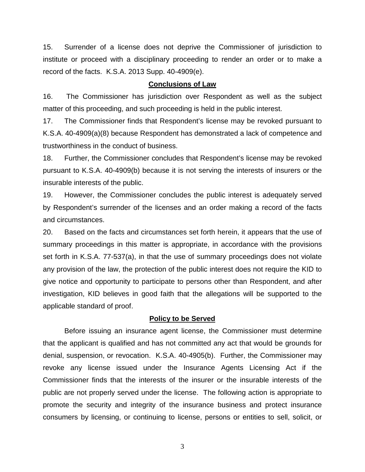15. Surrender of a license does not deprive the Commissioner of jurisdiction to institute or proceed with a disciplinary proceeding to render an order or to make a record of the facts. K.S.A. 2013 Supp. 40-4909(e).

#### **Conclusions of Law**

16. The Commissioner has jurisdiction over Respondent as well as the subject matter of this proceeding, and such proceeding is held in the public interest.

17. The Commissioner finds that Respondent's license may be revoked pursuant to K.S.A. 40-4909(a)(8) because Respondent has demonstrated a lack of competence and trustworthiness in the conduct of business.

18. Further, the Commissioner concludes that Respondent's license may be revoked pursuant to K.S.A. 40-4909(b) because it is not serving the interests of insurers or the insurable interests of the public.

19. However, the Commissioner concludes the public interest is adequately served by Respondent's surrender of the licenses and an order making a record of the facts and circumstances.

20. Based on the facts and circumstances set forth herein, it appears that the use of summary proceedings in this matter is appropriate, in accordance with the provisions set forth in K.S.A. 77-537(a), in that the use of summary proceedings does not violate any provision of the law, the protection of the public interest does not require the KID to give notice and opportunity to participate to persons other than Respondent, and after investigation, KID believes in good faith that the allegations will be supported to the applicable standard of proof.

#### **Policy to be Served**

Before issuing an insurance agent license, the Commissioner must determine that the applicant is qualified and has not committed any act that would be grounds for denial, suspension, or revocation. K.S.A. 40-4905(b). Further, the Commissioner may revoke any license issued under the Insurance Agents Licensing Act if the Commissioner finds that the interests of the insurer or the insurable interests of the public are not properly served under the license. The following action is appropriate to promote the security and integrity of the insurance business and protect insurance consumers by licensing, or continuing to license, persons or entities to sell, solicit, or

3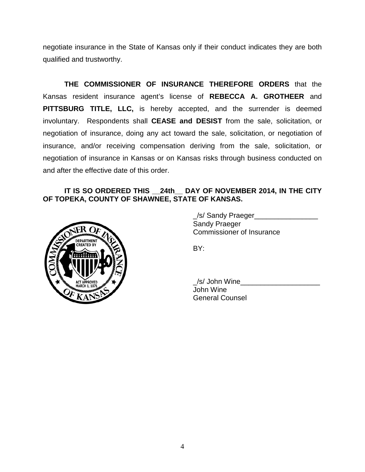negotiate insurance in the State of Kansas only if their conduct indicates they are both qualified and trustworthy.

**THE COMMISSIONER OF INSURANCE THEREFORE ORDERS** that the Kansas resident insurance agent's license of **REBECCA A. GROTHEER** and **PITTSBURG TITLE, LLC,** is hereby accepted, and the surrender is deemed involuntary. Respondents shall **CEASE and DESIST** from the sale, solicitation, or negotiation of insurance, doing any act toward the sale, solicitation, or negotiation of insurance, and/or receiving compensation deriving from the sale, solicitation, or negotiation of insurance in Kansas or on Kansas risks through business conducted on and after the effective date of this order.

# **IT IS SO ORDERED THIS \_\_24th\_\_ DAY OF NOVEMBER 2014, IN THE CITY OF TOPEKA, COUNTY OF SHAWNEE, STATE OF KANSAS.**



\_/s/ Sandy Praeger\_\_\_\_\_\_\_\_\_\_\_\_\_\_\_\_ Sandy Praeger Commissioner of Insurance

BY:

\_/s/ John Wine\_\_\_\_\_\_\_\_\_\_\_\_\_\_\_\_\_\_\_\_ John Wine General Counsel